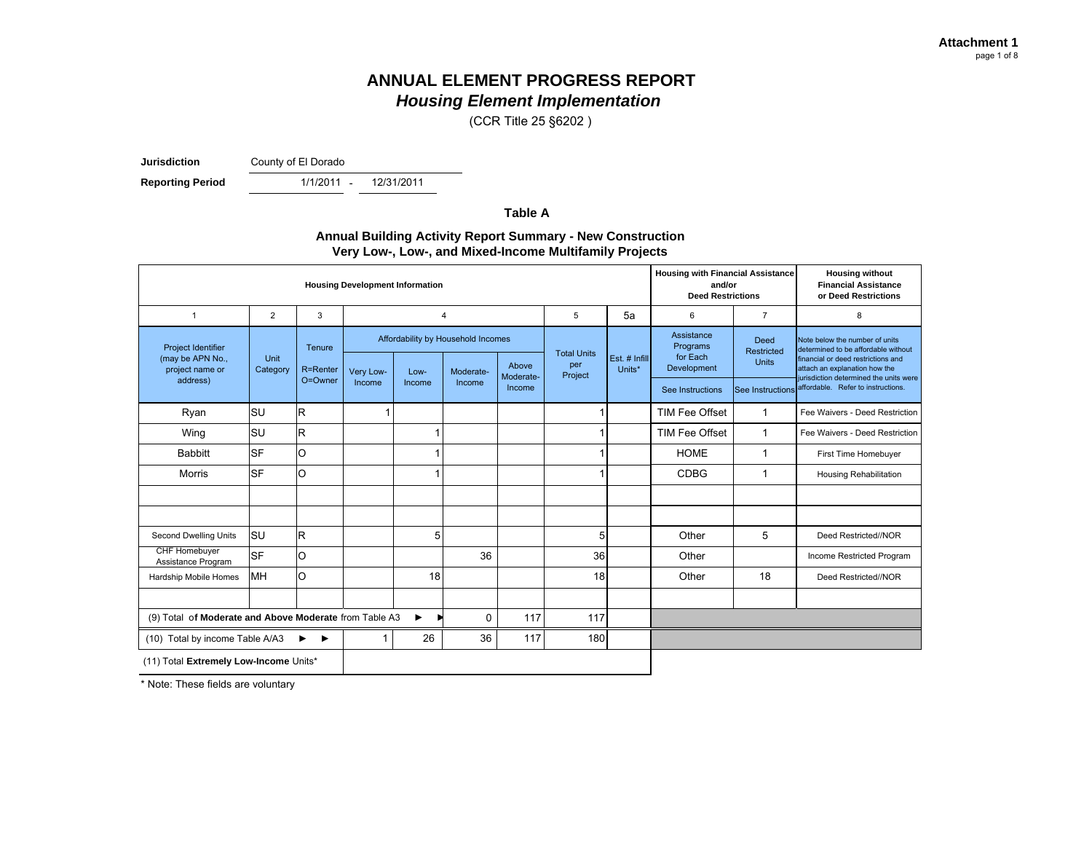(CCR Title 25 §6202 )

**Jurisdiction**

County of El Dorado

**Reporting Period** 

- 12/31/2011

**Table A**

### **Annual Building Activity Report Summary - New Construction Very Low-, Low-, and Mixed-Income Multifamily Projects**

| <b>Housing Development Information</b>                 |                |             |           |        |                                    |                    |                      |                |                                    | <b>Housing with Financial Assistance</b><br>and/or<br><b>Deed Restrictions</b> | <b>Housing without</b><br><b>Financial Assistance</b><br>or Deed Restrictions                               |  |
|--------------------------------------------------------|----------------|-------------|-----------|--------|------------------------------------|--------------------|----------------------|----------------|------------------------------------|--------------------------------------------------------------------------------|-------------------------------------------------------------------------------------------------------------|--|
| 1                                                      | $\overline{2}$ | 3           | 4         |        | 5                                  | 5a                 | 6                    | $\overline{7}$ | 8                                  |                                                                                |                                                                                                             |  |
| <b>Project Identifier</b><br>(may be APN No.,          | Unit           | Tenure      |           |        | Affordability by Household Incomes |                    | <b>Total Units</b>   | Est. # Infill  | Assistance<br>Programs<br>for Each | Deed<br><b>Restricted</b>                                                      | Note below the number of units<br>determined to be affordable without<br>financial or deed restrictions and |  |
| project name or                                        | Category       | R=Renter    | Very Low- | Low-   | Moderate-                          | Above<br>Moderate- | per<br>Project       | Units*         | Development                        | <b>Units</b>                                                                   | attach an explanation how the<br>jurisdiction determined the units were                                     |  |
| address)                                               |                | O=Owner     | Income    | Income | Income                             | Income             |                      |                | See Instructions                   |                                                                                | See Instructions affordable. Refer to instructions.                                                         |  |
| Ryan                                                   | SU             | R           |           |        |                                    |                    |                      |                | TIM Fee Offset                     | $\mathbf 1$                                                                    | Fee Waivers - Deed Restriction                                                                              |  |
| Wing                                                   | <b>SU</b>      | $\mathsf R$ |           |        |                                    |                    | 1                    |                | TIM Fee Offset                     | $\mathbf{1}$                                                                   | Fee Waivers - Deed Restriction                                                                              |  |
| <b>Babbitt</b>                                         | <b>SF</b>      | O           |           |        |                                    |                    | 1                    |                | <b>HOME</b>                        | 1                                                                              | First Time Homebuyer                                                                                        |  |
| Morris                                                 | <b>SF</b>      | O           |           |        |                                    |                    |                      |                | <b>CDBG</b>                        | 1                                                                              | <b>Housing Rehabilitation</b>                                                                               |  |
|                                                        |                |             |           |        |                                    |                    |                      |                |                                    |                                                                                |                                                                                                             |  |
|                                                        |                |             |           |        |                                    |                    |                      |                |                                    |                                                                                |                                                                                                             |  |
| Second Dwelling Units                                  | lsu            | R           |           | 5      |                                    |                    | 5                    |                | Other                              | 5                                                                              | Deed Restricted//NOR                                                                                        |  |
| <b>CHF Homebuver</b><br>Assistance Program             | <b>SF</b>      | O           |           |        | 36                                 |                    | 36                   |                | Other                              |                                                                                | Income Restricted Program                                                                                   |  |
| MH<br>O<br>18<br>Hardship Mobile Homes                 |                |             | 18        |        | Other                              | 18                 | Deed Restricted//NOR |                |                                    |                                                                                |                                                                                                             |  |
|                                                        |                |             |           |        |                                    |                    |                      |                |                                    |                                                                                |                                                                                                             |  |
| (9) Total of Moderate and Above Moderate from Table A3 |                |             |           | ▶      | 0                                  | 117                | 117                  |                |                                    |                                                                                |                                                                                                             |  |
| (10) Total by income Table A/A3<br>▶<br>▸              |                |             |           | 26     | 36                                 | 117                | 180                  |                |                                    |                                                                                |                                                                                                             |  |
| (11) Total Extremely Low-Income Units*                 |                |             |           |        |                                    |                    |                      |                |                                    |                                                                                |                                                                                                             |  |

\* Note: These fields are voluntary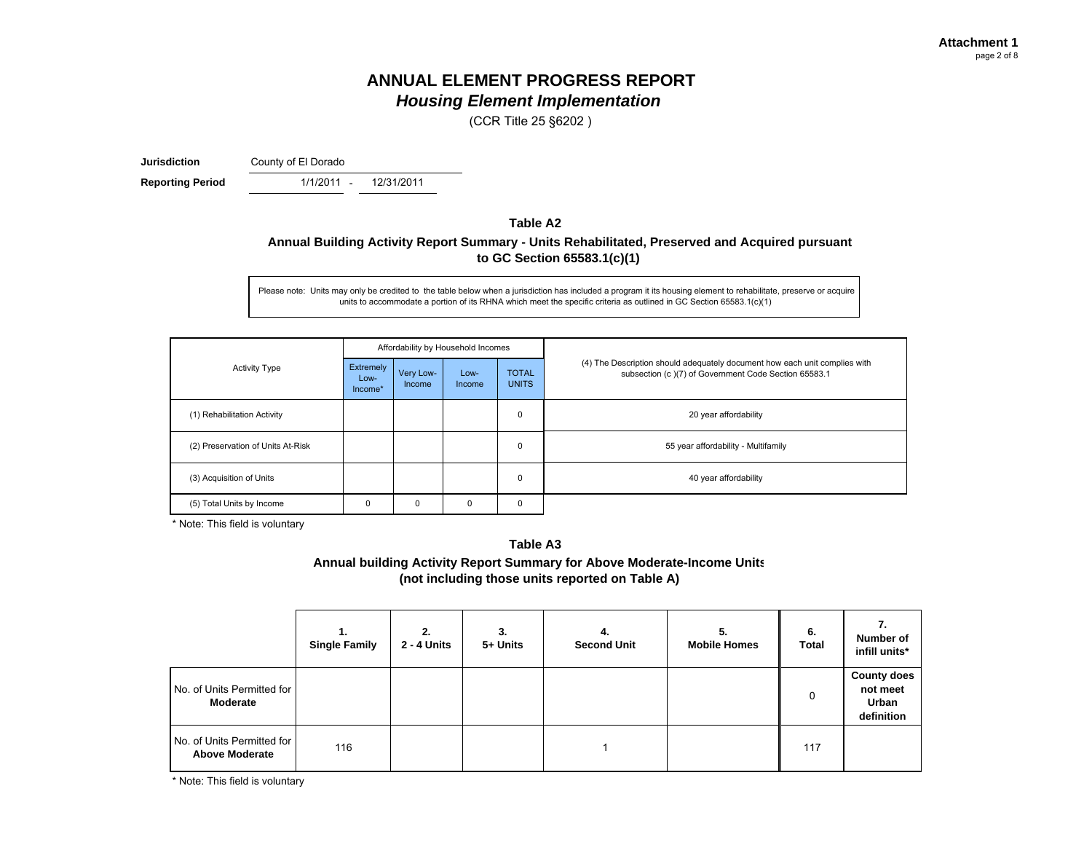(CCR Title 25 §6202 )

**Jurisdiction**

County of El Dorado

**Reporting Period 1/1/2011** - 12/31/2011

### **Table A2Annual Building Activity Report Summary - Units Rehabilitated, Preserved and Acquired pursuant to GC Section 65583.1(c)(1)**

Please note: Units may only be credited to the table below when a jurisdiction has included a program it its housing element to rehabilitate, preserve or acquire units to accommodate a portion of its RHNA which meet the specific criteria as outlined in GC Section 65583.1(c)(1)

|                                   |                              |                     | Affordability by Household Incomes |                              |                                                                                                                                    |
|-----------------------------------|------------------------------|---------------------|------------------------------------|------------------------------|------------------------------------------------------------------------------------------------------------------------------------|
| <b>Activity Type</b>              | Extremely<br>Low-<br>Income* | Very Low-<br>Income | Low-<br>Income                     | <b>TOTAL</b><br><b>UNITS</b> | (4) The Description should adequately document how each unit complies with<br>subsection (c)(7) of Government Code Section 65583.1 |
| (1) Rehabilitation Activity       |                              |                     |                                    | $\mathbf 0$                  | 20 year affordability                                                                                                              |
| (2) Preservation of Units At-Risk |                              |                     |                                    | $\mathbf 0$                  | 55 year affordability - Multifamily                                                                                                |
| (3) Acquisition of Units          |                              |                     |                                    | $\mathbf 0$                  | 40 year affordability                                                                                                              |
| (5) Total Units by Income         | $\Omega$                     | 0                   | 0                                  | $\mathbf 0$                  |                                                                                                                                    |

\* Note: This field is voluntary

#### **Table A3**

**Annual building Activity Report Summary for Above Moderate-Income Units (not including those units reported on Table A)**

|                                                     | <b>Single Family</b> | 2.<br>2 - 4 Units | 3.<br>5+ Units | 4.<br><b>Second Unit</b> | 5.<br><b>Mobile Homes</b> | 6.<br><b>Total</b> | Number of<br>infill units*                                   |
|-----------------------------------------------------|----------------------|-------------------|----------------|--------------------------|---------------------------|--------------------|--------------------------------------------------------------|
| No. of Units Permitted for<br>Moderate              |                      |                   |                |                          |                           | 0                  | <b>County does</b><br>not meet<br><b>Urban</b><br>definition |
| No. of Units Permitted for<br><b>Above Moderate</b> | 116                  |                   |                |                          |                           | 117                |                                                              |

\* Note: This field is voluntary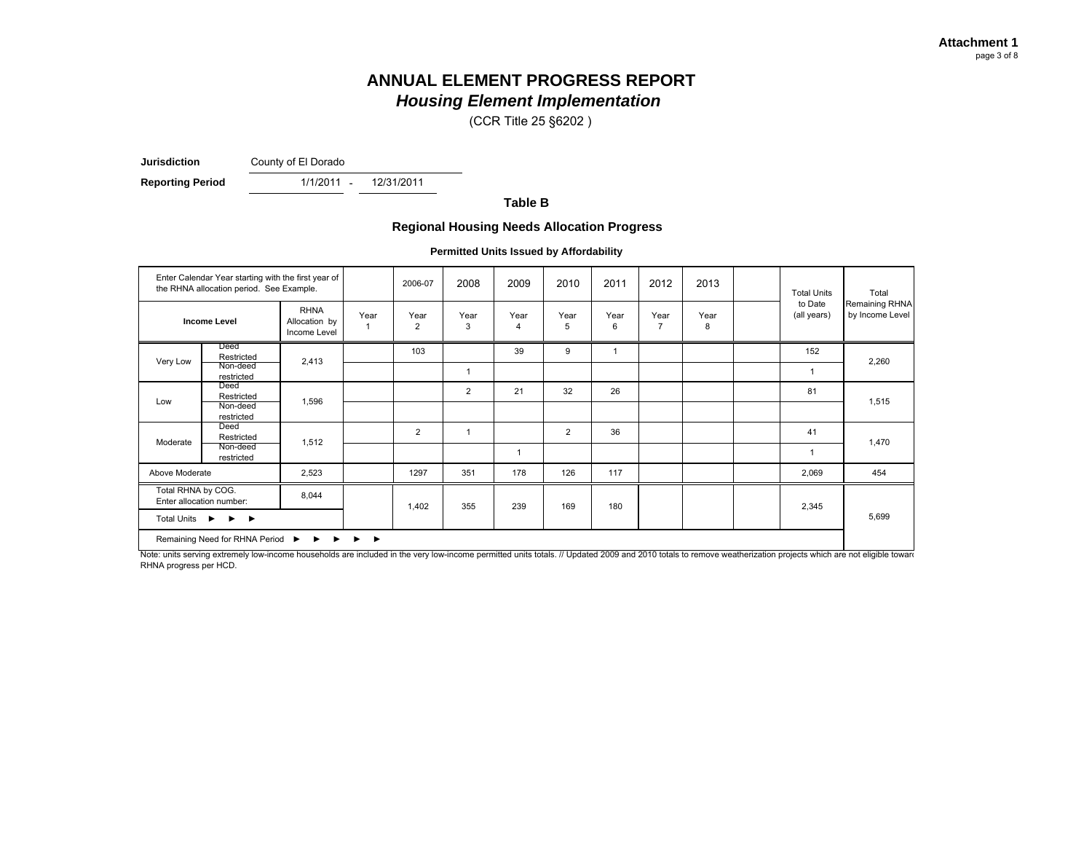(CCR Title 25 §6202 )

**Jurisdiction**

County of El Dorado

**Reporting Period** 1/1/2011 - 12/31/2011

**Table B**

#### **Regional Housing Needs Allocation Progress**

**Permitted Units Issued by Affordability**

| Enter Calendar Year starting with the first year of<br>the RHNA allocation period. See Example.<br><b>RHNA</b><br><b>Income Level</b><br>Allocation by<br>Income Level |                        |       | 2006-07 | 2008           | 2009           | 2010           | 2011           | 2012      | 2013                   | <b>Total Units</b> | Total                  |                                   |
|------------------------------------------------------------------------------------------------------------------------------------------------------------------------|------------------------|-------|---------|----------------|----------------|----------------|----------------|-----------|------------------------|--------------------|------------------------|-----------------------------------|
|                                                                                                                                                                        |                        |       | Year    | Year<br>2      | Year<br>3      | Year<br>4      | Year<br>5      | Year<br>6 | Year<br>$\overline{7}$ | Year<br>8          | to Date<br>(all years) | Remaining RHNA<br>by Income Level |
|                                                                                                                                                                        | Deed<br>Restricted     | 2,413 |         | 103            |                | 39             | 9              |           |                        |                    | 152                    |                                   |
| Very Low                                                                                                                                                               | Non-deed<br>restricted |       |         |                | 1              |                |                |           |                        |                    |                        | 2,260                             |
| Low                                                                                                                                                                    | Deed<br>Restricted     | 1,596 |         |                | $\overline{2}$ | 21             | 32             | 26        |                        |                    | 81                     | 1,515                             |
|                                                                                                                                                                        | Non-deed<br>restricted |       |         |                |                |                |                |           |                        |                    |                        |                                   |
| Moderate                                                                                                                                                               | Deed<br>Restricted     | 1,512 |         | $\overline{2}$ | -1             |                | $\overline{2}$ | 36        |                        |                    | 41                     | 1,470                             |
|                                                                                                                                                                        | Non-deed<br>restricted |       |         |                |                | $\overline{1}$ |                |           |                        |                    |                        |                                   |
| Above Moderate                                                                                                                                                         |                        | 2,523 |         | 1297           | 351            | 178            | 126            | 117       |                        |                    | 2,069                  | 454                               |
| Total RHNA by COG.<br>Enter allocation number:<br>Total Units ▶<br>$\blacktriangleright$ $\blacktriangleright$                                                         |                        | 8,044 |         |                | 355            | 239            | 169            | 180       |                        |                    | 2,345                  |                                   |
|                                                                                                                                                                        |                        |       |         | 1,402          |                |                |                |           |                        |                    |                        | 5,699                             |
| Remaining Need for RHNA Period ▶<br>►<br>$\rightarrow$<br>▸<br>1.00101111<br>$\overline{\cdots}$<br>10000                                                              |                        |       |         |                |                |                |                |           |                        |                    |                        |                                   |

Note: units serving extremely low-income households are included in the very low-income permitted units totals. // Updated 2009 and 2010 totals to remove weatherization projects which are not eligible toward RHNA progress per HCD.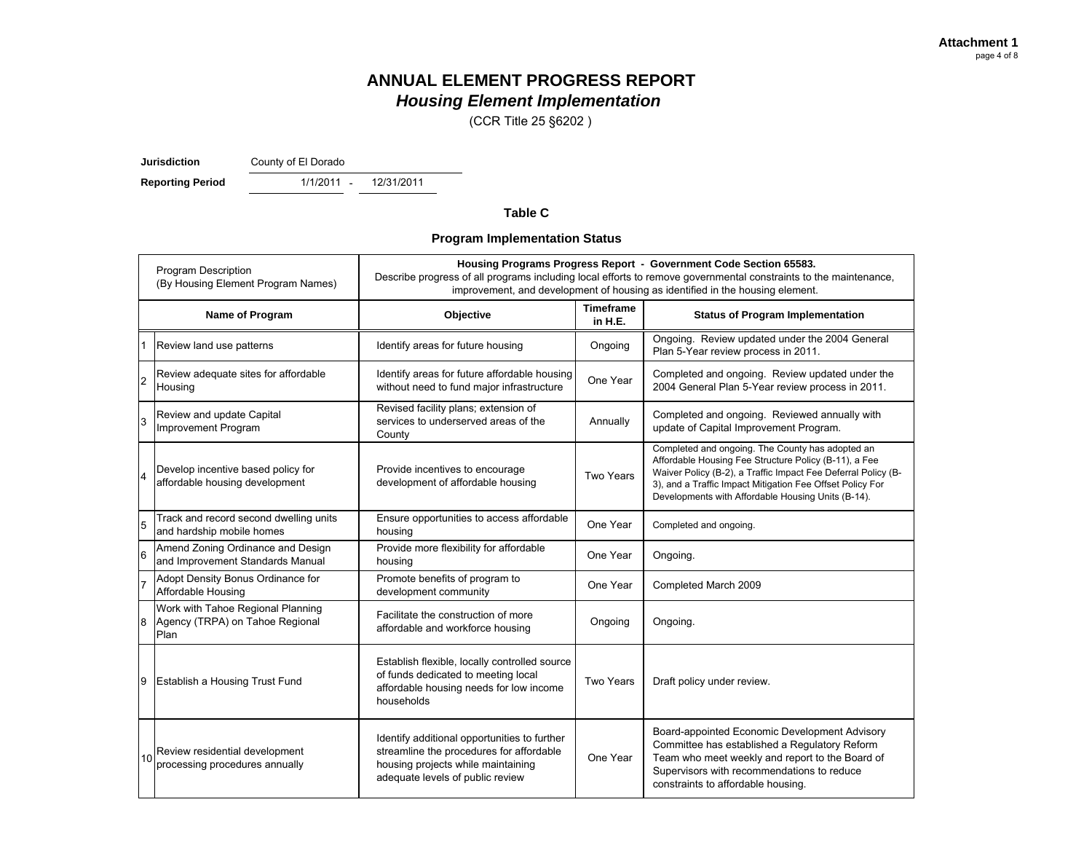(CCR Title 25 §6202 )

**Jurisdiction**

County of El Dorado

**Reporting Period** 1/1/2011 - 12/31/2011

#### **Table C**

### **Program Implementation Status**

| <b>Program Description</b><br>(By Housing Element Program Names) |                                                                              | Housing Programs Progress Report - Government Code Section 65583.<br>Describe progress of all programs including local efforts to remove governmental constraints to the maintenance,<br>improvement, and development of housing as identified in the housing element. |                             |                                                                                                                                                                                                                                                                                               |  |  |  |  |
|------------------------------------------------------------------|------------------------------------------------------------------------------|------------------------------------------------------------------------------------------------------------------------------------------------------------------------------------------------------------------------------------------------------------------------|-----------------------------|-----------------------------------------------------------------------------------------------------------------------------------------------------------------------------------------------------------------------------------------------------------------------------------------------|--|--|--|--|
|                                                                  | Name of Program                                                              | Objective                                                                                                                                                                                                                                                              | <b>Timeframe</b><br>in H.E. | <b>Status of Program Implementation</b>                                                                                                                                                                                                                                                       |  |  |  |  |
|                                                                  | Review land use patterns                                                     | Identify areas for future housing                                                                                                                                                                                                                                      | Ongoing                     | Ongoing. Review updated under the 2004 General<br>Plan 5-Year review process in 2011.                                                                                                                                                                                                         |  |  |  |  |
| 2                                                                | Review adequate sites for affordable<br>Housing                              | Identify areas for future affordable housing<br>without need to fund major infrastructure                                                                                                                                                                              | One Year                    | Completed and ongoing. Review updated under the<br>2004 General Plan 5-Year review process in 2011.                                                                                                                                                                                           |  |  |  |  |
| 3                                                                | Review and update Capital<br>Improvement Program                             | Revised facility plans; extension of<br>services to underserved areas of the<br>County                                                                                                                                                                                 | Annually                    | Completed and ongoing. Reviewed annually with<br>update of Capital Improvement Program.                                                                                                                                                                                                       |  |  |  |  |
|                                                                  | Develop incentive based policy for<br>affordable housing development         | Provide incentives to encourage<br>development of affordable housing                                                                                                                                                                                                   | Two Years                   | Completed and ongoing. The County has adopted an<br>Affordable Housing Fee Structure Policy (B-11), a Fee<br>Waiver Policy (B-2), a Traffic Impact Fee Deferral Policy (B-<br>3), and a Traffic Impact Mitigation Fee Offset Policy For<br>Developments with Affordable Housing Units (B-14). |  |  |  |  |
| 5                                                                | Track and record second dwelling units<br>and hardship mobile homes          | Ensure opportunities to access affordable<br>housing                                                                                                                                                                                                                   | One Year                    | Completed and ongoing.                                                                                                                                                                                                                                                                        |  |  |  |  |
| $\overline{6}$                                                   | Amend Zoning Ordinance and Design<br>and Improvement Standards Manual        | Provide more flexibility for affordable<br>housing                                                                                                                                                                                                                     | One Year                    | Ongoing.                                                                                                                                                                                                                                                                                      |  |  |  |  |
|                                                                  | Adopt Density Bonus Ordinance for<br>Affordable Housing                      | Promote benefits of program to<br>development community                                                                                                                                                                                                                | One Year                    | Completed March 2009                                                                                                                                                                                                                                                                          |  |  |  |  |
| 8                                                                | Work with Tahoe Regional Planning<br>Agency (TRPA) on Tahoe Regional<br>Plan | Facilitate the construction of more<br>affordable and workforce housing                                                                                                                                                                                                | Ongoing                     | Ongoing.                                                                                                                                                                                                                                                                                      |  |  |  |  |
| 9                                                                | <b>Establish a Housing Trust Fund</b>                                        | Establish flexible, locally controlled source<br>of funds dedicated to meeting local<br>affordable housing needs for low income<br>households                                                                                                                          | Two Years                   | Draft policy under review.                                                                                                                                                                                                                                                                    |  |  |  |  |
| 10                                                               | Review residential development<br>processing procedures annually             | Identify additional opportunities to further<br>streamline the procedures for affordable<br>housing projects while maintaining<br>adequate levels of public review                                                                                                     | One Year                    | Board-appointed Economic Development Advisory<br>Committee has established a Regulatory Reform<br>Team who meet weekly and report to the Board of<br>Supervisors with recommendations to reduce<br>constraints to affordable housing.                                                         |  |  |  |  |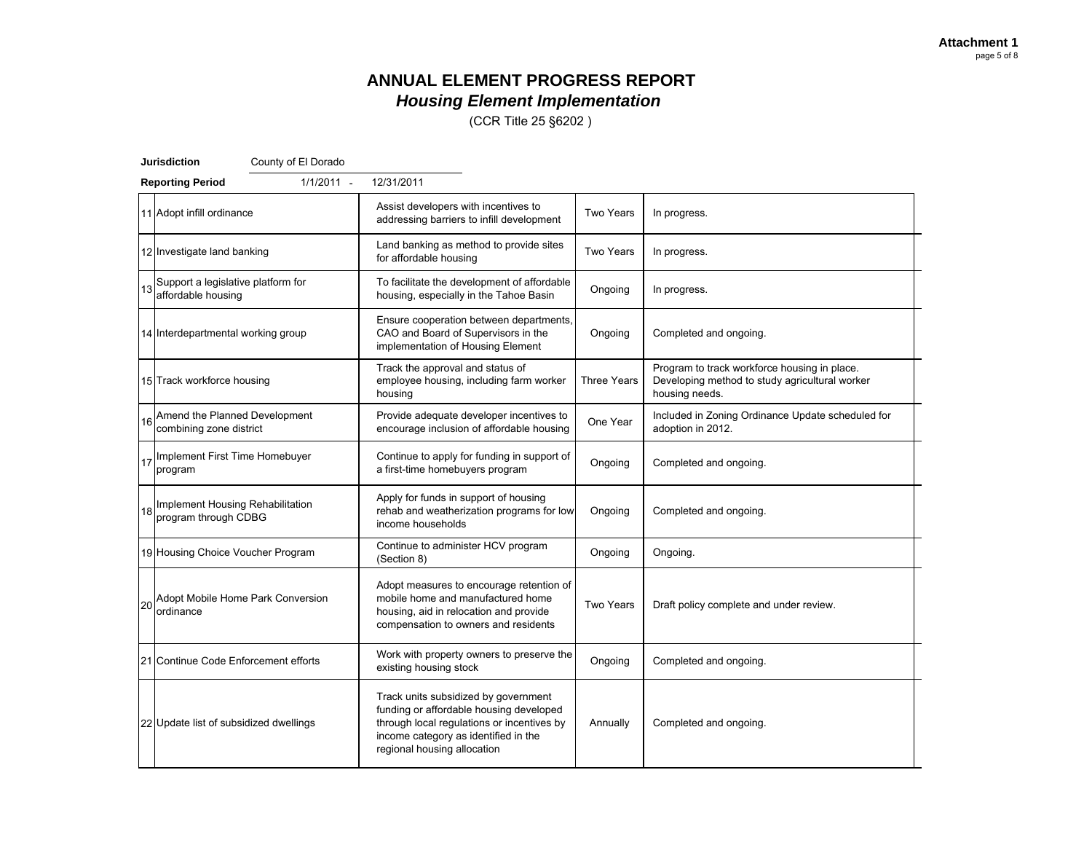(CCR Title 25 §6202 )

|    | <b>Jurisdiction</b><br>County of El Dorado               |                                                                                                                                                                                                      |                    |                                                                                                                  |  |
|----|----------------------------------------------------------|------------------------------------------------------------------------------------------------------------------------------------------------------------------------------------------------------|--------------------|------------------------------------------------------------------------------------------------------------------|--|
|    | $1/1/2011$ -<br><b>Reporting Period</b>                  | 12/31/2011                                                                                                                                                                                           |                    |                                                                                                                  |  |
|    | 11 Adopt infill ordinance                                | Assist developers with incentives to<br>addressing barriers to infill development                                                                                                                    | Two Years          | In progress.                                                                                                     |  |
|    | 12 Investigate land banking                              | Land banking as method to provide sites<br>for affordable housing                                                                                                                                    | <b>Two Years</b>   | In progress.                                                                                                     |  |
| 13 | Support a legislative platform for<br>affordable housing | To facilitate the development of affordable<br>housing, especially in the Tahoe Basin                                                                                                                | Ongoing            | In progress.                                                                                                     |  |
|    | 14 Interdepartmental working group                       | Ensure cooperation between departments,<br>CAO and Board of Supervisors in the<br>implementation of Housing Element                                                                                  | Ongoing            | Completed and ongoing.                                                                                           |  |
|    | 15 Track workforce housing                               | Track the approval and status of<br>employee housing, including farm worker<br>housing                                                                                                               | <b>Three Years</b> | Program to track workforce housing in place.<br>Developing method to study agricultural worker<br>housing needs. |  |
| 16 | Amend the Planned Development<br>combining zone district | Provide adequate developer incentives to<br>encourage inclusion of affordable housing                                                                                                                | One Year           | Included in Zoning Ordinance Update scheduled for<br>adoption in 2012.                                           |  |
|    | 17 Implement First Time Homebuyer<br>program             | Continue to apply for funding in support of<br>a first-time homebuyers program                                                                                                                       | Ongoing            | Completed and ongoing.                                                                                           |  |
| 18 | Implement Housing Rehabilitation<br>program through CDBG | Apply for funds in support of housing<br>rehab and weatherization programs for low<br>income households                                                                                              | Ongoing            | Completed and ongoing.                                                                                           |  |
|    | 19 Housing Choice Voucher Program                        | Continue to administer HCV program<br>(Section 8)                                                                                                                                                    | Ongoing            | Ongoing.                                                                                                         |  |
| 20 | Adopt Mobile Home Park Conversion<br>ordinance           | Adopt measures to encourage retention of<br>mobile home and manufactured home<br>housing, aid in relocation and provide<br>compensation to owners and residents                                      | <b>Two Years</b>   | Draft policy complete and under review.                                                                          |  |
|    | 21 Continue Code Enforcement efforts                     | Work with property owners to preserve the<br>existing housing stock                                                                                                                                  | Ongoing            | Completed and ongoing.                                                                                           |  |
|    | 22 Update list of subsidized dwellings                   | Track units subsidized by government<br>funding or affordable housing developed<br>through local regulations or incentives by<br>income category as identified in the<br>regional housing allocation | Annually           | Completed and ongoing.                                                                                           |  |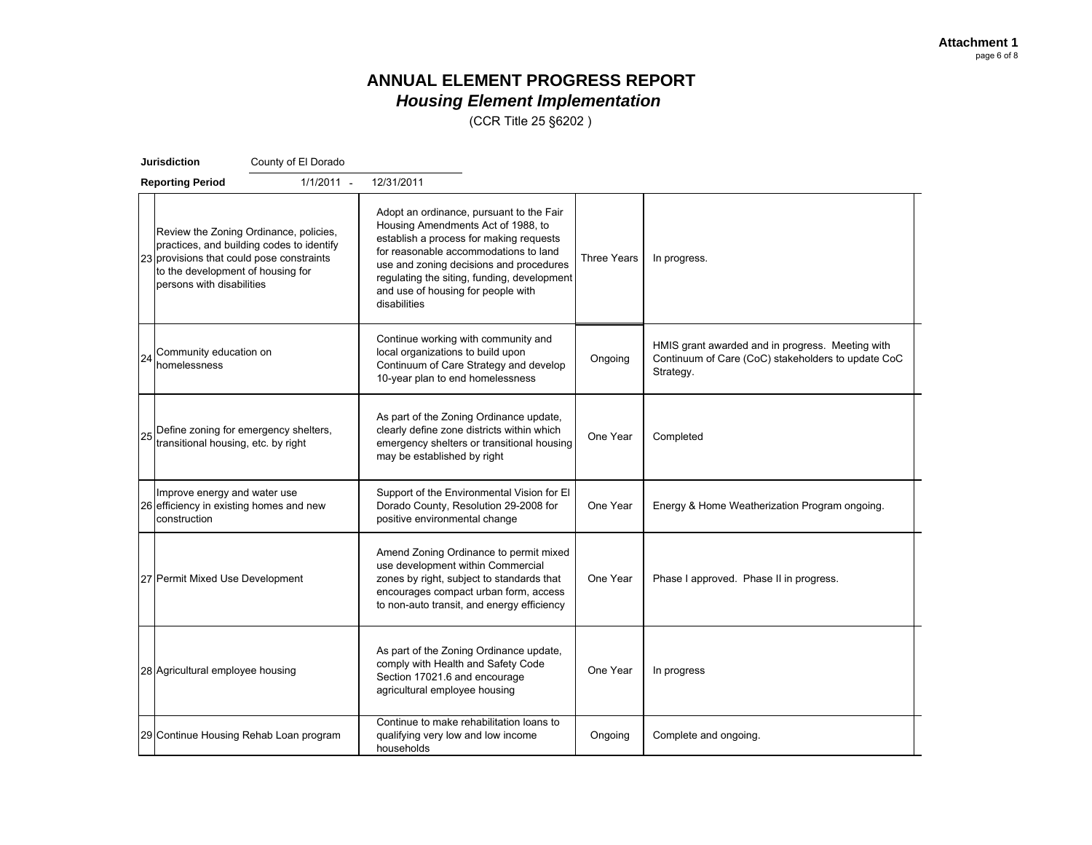(CCR Title 25 §6202 )

|    | Jurisdiction                                                                                                | County of El Dorado                                                                 |                                                                                                                                                                                                                                                                                                                                   |          |                                                                                                                     |  |
|----|-------------------------------------------------------------------------------------------------------------|-------------------------------------------------------------------------------------|-----------------------------------------------------------------------------------------------------------------------------------------------------------------------------------------------------------------------------------------------------------------------------------------------------------------------------------|----------|---------------------------------------------------------------------------------------------------------------------|--|
|    | <b>Reporting Period</b>                                                                                     | $1/1/2011 -$                                                                        | 12/31/2011                                                                                                                                                                                                                                                                                                                        |          |                                                                                                                     |  |
|    | 23 provisions that could pose constraints<br>to the development of housing for<br>persons with disabilities | Review the Zoning Ordinance, policies,<br>practices, and building codes to identify | Adopt an ordinance, pursuant to the Fair<br>Housing Amendments Act of 1988, to<br>establish a process for making requests<br>for reasonable accommodations to land<br>Three Years<br>use and zoning decisions and procedures<br>regulating the siting, funding, development<br>and use of housing for people with<br>disabilities |          | In progress.                                                                                                        |  |
| 24 | Community education on<br>homelessness                                                                      |                                                                                     | Continue working with community and<br>local organizations to build upon<br>Continuum of Care Strategy and develop<br>10-year plan to end homelessness                                                                                                                                                                            | Ongoing  | HMIS grant awarded and in progress. Meeting with<br>Continuum of Care (CoC) stakeholders to update CoC<br>Strategy. |  |
| 25 | transitional housing, etc. by right                                                                         | Define zoning for emergency shelters,                                               | As part of the Zoning Ordinance update,<br>clearly define zone districts within which<br>emergency shelters or transitional housing<br>may be established by right                                                                                                                                                                | One Year | Completed                                                                                                           |  |
|    | Improve energy and water use<br>26 efficiency in existing homes and new<br>construction                     |                                                                                     | Support of the Environmental Vision for El<br>Dorado County, Resolution 29-2008 for<br>positive environmental change                                                                                                                                                                                                              | One Year | Energy & Home Weatherization Program ongoing.                                                                       |  |
|    | 27 Permit Mixed Use Development                                                                             |                                                                                     | Amend Zoning Ordinance to permit mixed<br>use development within Commercial<br>zones by right, subject to standards that<br>encourages compact urban form, access<br>to non-auto transit, and energy efficiency                                                                                                                   | One Year | Phase I approved. Phase II in progress.                                                                             |  |
|    | 28 Agricultural employee housing                                                                            |                                                                                     | As part of the Zoning Ordinance update,<br>comply with Health and Safety Code<br>Section 17021.6 and encourage<br>agricultural employee housing                                                                                                                                                                                   | One Year | In progress                                                                                                         |  |
|    |                                                                                                             | 29 Continue Housing Rehab Loan program                                              | Continue to make rehabilitation loans to<br>qualifying very low and low income<br>households                                                                                                                                                                                                                                      | Ongoing  | Complete and ongoing.                                                                                               |  |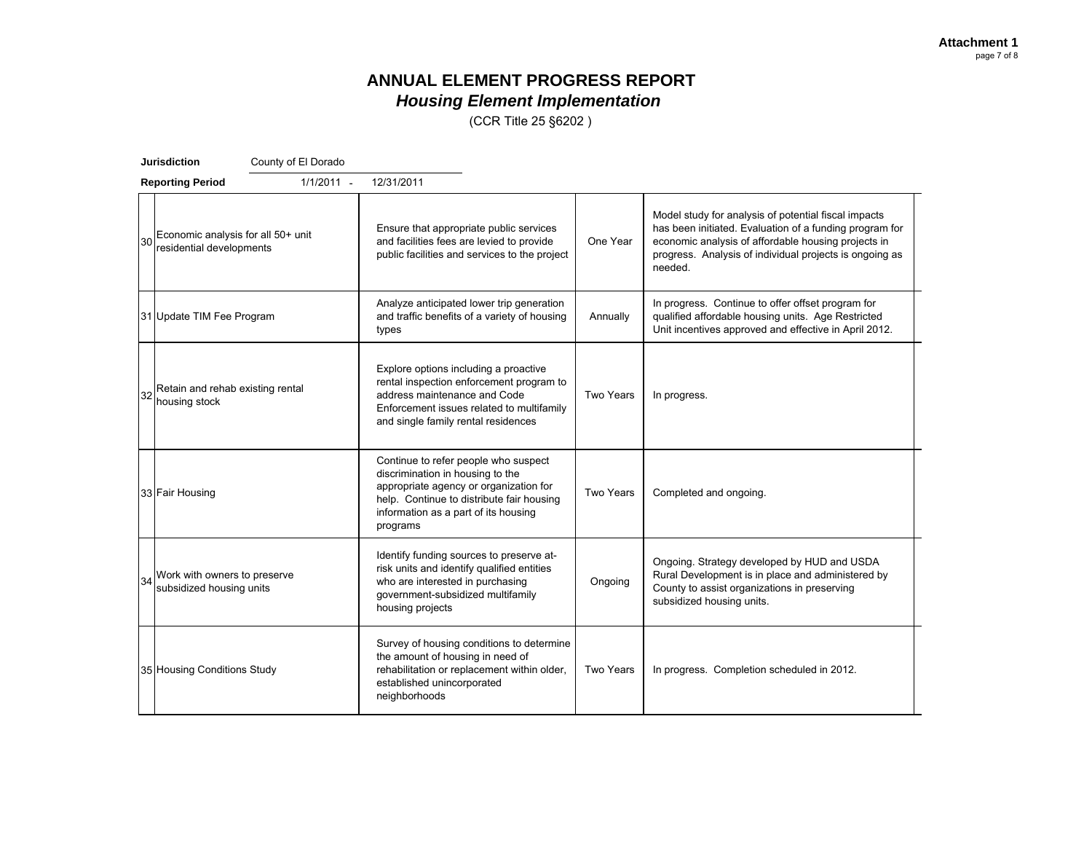(CCR Title 25 §6202 )

|    | <b>Jurisdiction</b><br>County of El Dorado                     |                                                                                                                                                                                                                     |                  |                                                                                                                                                                                                                                              |  |  |  |  |  |  |
|----|----------------------------------------------------------------|---------------------------------------------------------------------------------------------------------------------------------------------------------------------------------------------------------------------|------------------|----------------------------------------------------------------------------------------------------------------------------------------------------------------------------------------------------------------------------------------------|--|--|--|--|--|--|
|    | $1/1/2011 -$<br><b>Reporting Period</b>                        | 12/31/2011                                                                                                                                                                                                          |                  |                                                                                                                                                                                                                                              |  |  |  |  |  |  |
| 30 | Economic analysis for all 50+ unit<br>residential developments | Ensure that appropriate public services<br>and facilities fees are levied to provide<br>public facilities and services to the project                                                                               | One Year         | Model study for analysis of potential fiscal impacts<br>has been initiated. Evaluation of a funding program for<br>economic analysis of affordable housing projects in<br>progress. Analysis of individual projects is ongoing as<br>needed. |  |  |  |  |  |  |
|    | 31 Update TIM Fee Program                                      | Analyze anticipated lower trip generation<br>and traffic benefits of a variety of housing<br>types                                                                                                                  | Annually         | In progress. Continue to offer offset program for<br>qualified affordable housing units. Age Restricted<br>Unit incentives approved and effective in April 2012.                                                                             |  |  |  |  |  |  |
| 32 | Retain and rehab existing rental<br>housing stock              | Explore options including a proactive<br>rental inspection enforcement program to<br>address maintenance and Code<br>Enforcement issues related to multifamily<br>and single family rental residences               | Two Years        | In progress.                                                                                                                                                                                                                                 |  |  |  |  |  |  |
|    | 33 Fair Housing                                                | Continue to refer people who suspect<br>discrimination in housing to the<br>appropriate agency or organization for<br>help. Continue to distribute fair housing<br>information as a part of its housing<br>programs | <b>Two Years</b> | Completed and ongoing.                                                                                                                                                                                                                       |  |  |  |  |  |  |
| 34 | Work with owners to preserve<br>subsidized housing units       | Identify funding sources to preserve at-<br>risk units and identify qualified entities<br>who are interested in purchasing<br>government-subsidized multifamily<br>housing projects                                 | Ongoing          | Ongoing. Strategy developed by HUD and USDA<br>Rural Development is in place and administered by<br>County to assist organizations in preserving<br>subsidized housing units.                                                                |  |  |  |  |  |  |
|    | 35 Housing Conditions Study                                    | Survey of housing conditions to determine<br>the amount of housing in need of<br>rehabilitation or replacement within older,<br>established unincorporated<br>neighborhoods                                         | Two Years        | In progress. Completion scheduled in 2012.                                                                                                                                                                                                   |  |  |  |  |  |  |